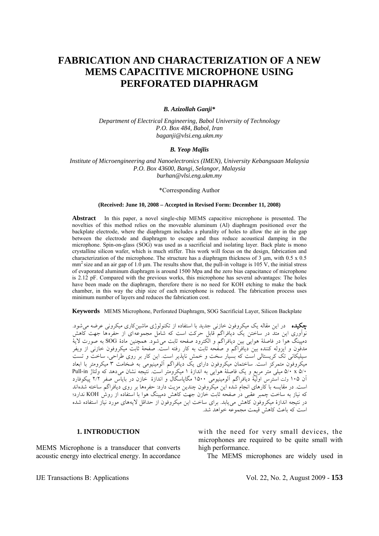# **FABRICATION AND CHARACTERIZATION OF A NEW MEMS CAPACITIVE MICROPHONE USING PERFORATED DIAPHRAGM**

#### *B. Azizollah Ganji\**

*Department of Electrical Engineering, Babol University of Technology P.O. Box 484, Babol, Iran baganji@vlsi.eng.ukm.my* 

## *B. Yeop Majlis*

*Institute of Microengineering and Nanoelectronics (IMEN), University Kebangsaan Malaysia P.O. Box 43600, Bangi, Selangor, Malaysia burhan@vlsi.eng.ukm.my* 

#### \*Corresponding Author

#### **(Received: June 10, 2008 – Accepted in Revised Form: December 11, 2008)**

**Abstract** In this paper, a novel single-chip MEMS capacitive microphone is presented. The novelties of this method relies on the moveable aluminum (Al) diaphragm positioned over the backplate electrode, where the diaphragm includes a plurality of holes to allow the air in the gap between the electrode and diaphragm to escape and thus reduce acoustical damping in the microphone. Spin-on-glass (SOG) was used as a sacrificial and isolating layer. Back plate is mono crystalline silicon wafer, which is much stiffer. This work will focus on the design, fabrication and characterization of the microphone. The structure has a diaphragm thickness of 3  $\mu$ m, with 0.5 x 0.5  $mm<sup>2</sup>$  size and an air gap of 1.0 um. The results show that, the pull-in voltage is 105 V, the initial stress of evaporated aluminum diaphragm is around 1500 Mpa and the zero bias capacitance of microphone is 2.12 pF. Compared with the previous works, this microphone has several advantages: The holes have been made on the diaphragm, therefore there is no need for KOH etching to make the back chamber, in this way the chip size of each microphone is reduced. The fabrication process uses minimum number of layers and reduces the fabrication cost.

**Keywords** MEMS Microphone, Perforated Diaphragm, SOG Sacrificial Layer, Silicon Backplate

چکیده ً در اين مقاله يک ميکروفون خازني جديد با استفاده از تکنولوژی ماشينکاری ميکرونی عرضه می شود. نوآوری اين متد در ساختن يک ديافراگم قابل حرکت است که شامل مجموعهای از حفرهها جهت کاهش دمپينگ هوا در فاصلة هوايی بين ديافراگم و الکترود صفحه ثابت میشود. همچنين مادة SOG به صورت لاية مدفون و ايزوله کننده بين ديافراگم و صفحه ثابت به کار رفته است. صفحة ثابت ميکروفون خازنی از ويفر سيليکانی تک کريستالی است که بسيار سخت و خمش ناپذير است. اين کار بر روي طراحي، ساخت و تست ميکروفون متمرکز است. ساختمان ميکروفون دارای يک ديافراگم آلومينيومی به ضخامت ۳ ميکرومتر با ابعاد ۵/۰ x ۵/۰ ميلی متر مربع و يک فاصلة هوايی به اندازة ۱ ميکرومتر است. نتيجه نشان ميدهد که ولتاژ in-Pull آن ۱۰۵ ولت استرس اولية ديافراگم آلومينيومی ۱۵۰۰ مگاپاسگال و اندازة خازن در باياس صفر ۲/۲ پيکوفارد است. در مقايسه با کارهای انجام شده اين ميکروفون چندين مزيت دارد: حفرهها بر روی ديافراگم ساخته شدهاند که نياز به ساخت چمبر عقبی در صفحه ثابت خازن جهت کاهش دمپينگ هوا با استفاده از روش KOH ندارد؛ در نتيجه اندازة ميکروفون کاهش میيابد. برای ساخت اين ميکروفون از حداقل لايههاي مورد نياز استفاده شده است که باعث کاهش قيمت مجموعه خواهد شد.

#### **1. INTRODUCTION**

MEMS Microphone is a transducer that converts acoustic energy into electrical energy. In accordance with the need for very small devices, the microphones are required to be quite small with high performance.

The MEMS microphones are widely used in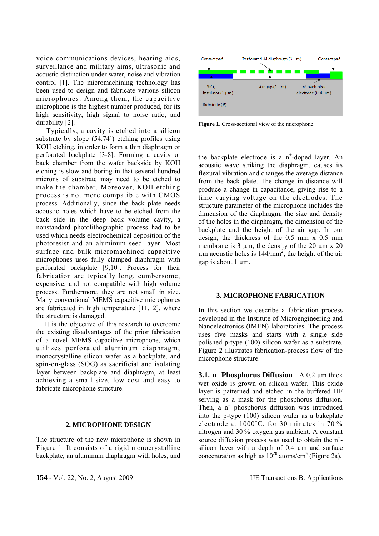voice communications devices, hearing aids, surveillance and military aims, ultrasonic and acoustic distinction under water, noise and vibration control [1]. The micromachining technology has been used to design and fabricate various silicon microphones. Among them, the capacitive microphone is the highest number produced, for its high sensitivity, high signal to noise ratio, and durability [2].

 Typically, a cavity is etched into a silicon substrate by slope (54.74˚) etching profiles using KOH etching, in order to form a thin diaphragm or perforated backplate [3-8]. Forming a cavity or back chamber from the wafer backside by KOH etching is slow and boring in that several hundred microns of substrate may need to be etched to make the chamber. Moreover, KOH etching process is not more compatible with CMOS process. Additionally, since the back plate needs acoustic holes which have to be etched from the back side in the deep back volume cavity, a nonstandard photolithographic process had to be used which needs electrochemical deposition of the photoresist and an aluminum seed layer. Most surface and bulk micromachined capacitive microphones uses fully clamped diaphragm with perforated backplate [9,10]. Process for their fabrication are typically long, cumbersome, expensive, and not compatible with high volume process. Furthermore, they are not small in size. Many conventional MEMS capacitive microphones are fabricated in high temperature [11,12], where the structure is damaged.

 It is the objective of this research to overcome the existing disadvantages of the prior fabrication of a novel MEMS capacitive microphone, which utilizes perforated aluminum diaphragm, monocrystalline silicon wafer as a backplate, and spin-on-glass (SOG) as sacrificial and isolating layer between backplate and diaphragm, at least achieving a small size, low cost and easy to fabricate microphone structure.

## **2. MICROPHONE DESIGN**

The structure of the new microphone is shown in Figure 1. It consists of a rigid monocrystalline backplate, an aluminum diaphragm with holes, and



**Figure 1**. Cross-sectional view of the microphone.

the backplate electrode is a n<sup>+</sup>-doped layer. An acoustic wave striking the diaphragm, causes its flexural vibration and changes the average distance from the back plate. The change in distance will produce a change in capacitance, giving rise to a time varying voltage on the electrodes. The structure parameter of the microphone includes the dimension of the diaphragm, the size and density of the holes in the diaphragm, the dimension of the backplate and the height of the air gap. In our design, the thickness of the 0.5 mm x 0.5 mm membrane is  $3 \mu$ m, the density of the  $20 \mu$ m x  $20 \mu$  $\mu$ m acoustic holes is 144/mm<sup>2</sup>, the height of the air gap is about 1 um.

# **3. MICROPHONE FABRICATION**

In this section we describe a fabrication process developed in the Institute of Microengineering and Nanoelectronics (IMEN) laboratories. The process uses five masks and starts with a single side polished p-type (100) silicon wafer as a substrate. Figure 2 illustrates fabrication-process flow of the microphone structure.

**3.1. n<sup>+</sup> Phosphorus Diffusion** A 0.2 µm thick wet oxide is grown on silicon wafer. This oxide layer is patterned and etched in the buffered HF serving as a mask for the phosphorus diffusion. Then,  $a$   $n^+$  phosphorus diffusion was introduced into the p-type (100) silicon wafer as a bakeplate electrode at 1000˚C, for 30 minutes in 70 % nitrogen and 30 % oxygen gas ambient. A constant source diffusion process was used to obtain the  $n^+$ silicon layer with a depth of 0.4  $\mu$ m and surface concentration as high as  $10^{20}$  atoms/cm<sup>3</sup> (Figure 2a).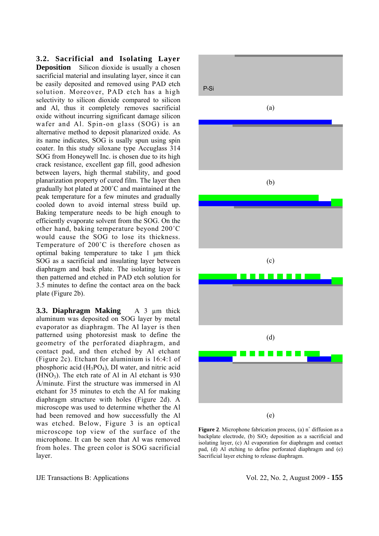**3.2. Sacrificial and Isolating Layer Deposition** Silicon dioxide is usually a chosen sacrificial material and insulating layer, since it can be easily deposited and removed using PAD etch solution. Moreover, PAD etch has a high selectivity to silicon dioxide compared to silicon and Al, thus it completely removes sacrificial oxide without incurring significant damage silicon wafer and Al. Spin-on glass (SOG) is an alternative method to deposit planarized oxide. As its name indicates, SOG is usally spun using spin coater. In this study siloxane type Accuglass 314 SOG from Honeywell Inc. is chosen due to its high crack resistance, excellent gap fill, good adhesion between layers, high thermal stability, and good planarization property of cured film. The layer then gradually hot plated at 200˚C and maintained at the peak temperature for a few minutes and gradually cooled down to avoid internal stress build up. Baking temperature needs to be high enough to efficiently evaporate solvent from the SOG. On the other hand, baking temperature beyond 200˚C would cause the SOG to lose its thickness. Temperature of 200˚C is therefore chosen as optimal baking temperature to take 1 μm thick SOG as a sacrificial and insulating layer between diaphragm and back plate. The isolating layer is then patterned and etched in PAD etch solution for 3.5 minutes to define the contact area on the back plate (Figure 2b).

**3.3. Diaphragm Making** A 3 µm thick aluminum was deposited on SOG layer by metal evaporator as diaphragm. The Al layer is then patterned using photoresist mask to define the geometry of the perforated diaphragm, and contact pad, and then etched by Al etchant (Figure 2c). Etchant for aluminium is 16:4:1 of phosphoric acid (H3PO4), DI water, and nitric acid  $(HNO<sub>3</sub>)$ . The etch rate of Al in Al etchant is 930 Å/minute. First the structure was immersed in Al etchant for 35 minutes to etch the Al for making diaphragm structure with holes (Figure 2d). A microscope was used to determine whether the Al had been removed and how successfully the Al was etched. Below, Figure 3 is an optical microscope top view of the surface of the microphone. It can be seen that Al was removed from holes. The green color is SOG sacrificial layer.



**Figure 2.** Microphone fabrication process,  $(a)$  n<sup>+</sup> diffusion as a backplate electrode, (b)  $SiO<sub>2</sub>$  deposition as a sacrificial and isolating layer, (c) Al evaporation for diaphragm and contact pad, (d) Al etching to define perforated diaphragm and (e) Sacrificial layer etching to release diaphragm.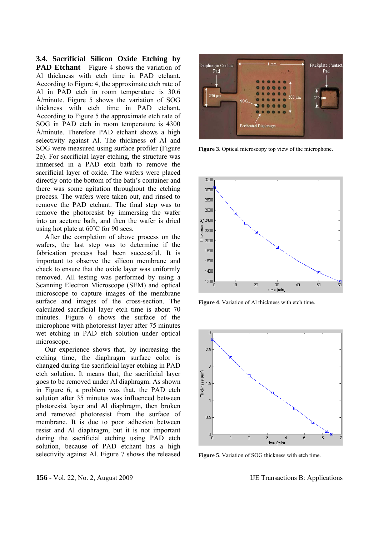**3.4. Sacrificial Silicon Oxide Etching by PAD Etchant** Figure 4 shows the variation of Al thickness with etch time in PAD etchant. According to Figure 4, the approximate etch rate of Al in PAD etch in room temperature is 30.6 Å/minute. Figure 5 shows the variation of SOG thickness with etch time in PAD etchant. According to Figure 5 the approximate etch rate of SOG in PAD etch in room temperature is 4300 Å/minute. Therefore PAD etchant shows a high selectivity against Al. The thickness of Al and SOG were measured using surface profiler (Figure 2e). For sacrificial layer etching, the structure was immersed in a PAD etch bath to remove the sacrificial layer of oxide. The wafers were placed directly onto the bottom of the bath's container and there was some agitation throughout the etching process. The wafers were taken out, and rinsed to remove the PAD etchant. The final step was to remove the photoresist by immersing the wafer into an acetone bath, and then the wafer is dried using hot plate at 60˚C for 90 secs.

 After the completion of above process on the wafers, the last step was to determine if the fabrication process had been successful. It is important to observe the silicon membrane and check to ensure that the oxide layer was uniformly removed. All testing was performed by using a Scanning Electron Microscope (SEM) and optical microscope to capture images of the membrane surface and images of the cross-section. The calculated sacrificial layer etch time is about 70 minutes. Figure 6 shows the surface of the microphone with photoresist layer after 75 minutes wet etching in PAD etch solution under optical microscope.

 Our experience shows that, by increasing the etching time, the diaphragm surface color is changed during the sacrificial layer etching in PAD etch solution. It means that, the sacrificial layer goes to be removed under Al diaphragm. As shown in Figure 6, a problem was that, the PAD etch solution after 35 minutes was influenced between photoresist layer and Al diaphragm, then broken and removed photoresist from the surface of membrane. It is due to poor adhesion between resist and Al diaphragm, but it is not important during the sacrificial etching using PAD etch solution, because of PAD etchant has a high selectivity against Al. Figure 7 shows the released



**Figure 3**. Optical microscopy top view of the microphone.



**Figure 4**. Variation of Al thickness with etch time.



**Figure 5**. Variation of SOG thickness with etch time.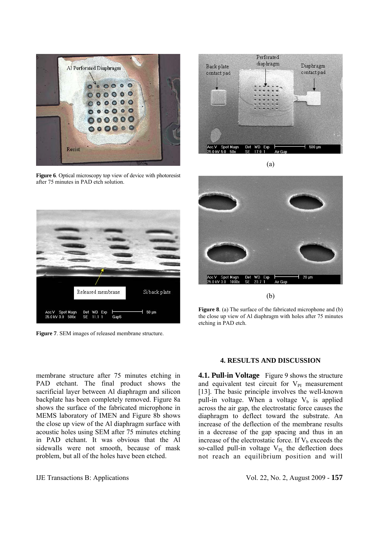

**Figure 6**. Optical microscopy top view of device with photoresist after 75 minutes in PAD etch solution.



**Figure 7**. SEM images of released membrane structure.



(a)



(b)

**Figure 8**. (a) The surface of the fabricated microphone and (b) the close up view of Al diaphragm with holes after 75 minutes etching in PAD etch.

membrane structure after 75 minutes etching in PAD etchant. The final product shows the sacrificial layer between Al diaphragm and silicon backplate has been completely removed. Figure 8a shows the surface of the fabricated microphone in MEMS laboratory of IMEN and Figure 8b shows the close up view of the Al diaphragm surface with acoustic holes using SEM after 75 minutes etching in PAD etchant. It was obvious that the Al sidewalls were not smooth, because of mask problem, but all of the holes have been etched.

# **4. RESULTS AND DISCUSSION**

**4.1. Pull-in Voltage** Figure 9 shows the structure and equivalent test circuit for  $V_{PI}$  measurement [13]. The basic principle involves the well-known pull-in voltage. When a voltage  $V_b$  is applied across the air gap, the electrostatic force causes the diaphragm to deflect toward the substrate. An increase of the deflection of the membrane results in a decrease of the gap spacing and thus in an increase of the electrostatic force. If  $V<sub>b</sub>$  exceeds the so-called pull-in voltage  $V_{PI}$ , the deflection does not reach an equilibrium position and will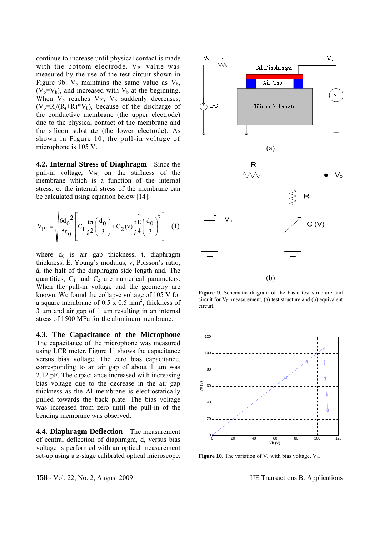continue to increase until physical contact is made with the bottom electrode.  $V_{PI}$  value was measured by the use of the test circuit shown in Figure 9b.  $V_0$  maintains the same value as  $V_b$ ,  $(V_0=V_b)$ , and increased with  $V_b$  at the beginning. When  $V_b$  reaches  $V_{PI}$ ,  $V_o$  suddenly decreases,  $(V_0=R_t/(R_t+R)*V_b)$ , because of the discharge of the conductive membrane (the upper electrode) due to the physical contact of the membrane and the silicon substrate (the lower electrode). As shown in Figure 10, the pull-in voltage of microphone is 105 V.

**4.2. Internal Stress of Diaphragm** Since the pull-in voltage,  $V_{\text{PL}}$  on the stiffness of the membrane which is a function of the internal stress, σ, the internal stress of the membrane can be calculated using equation below [14]:

$$
V_{PI} = \sqrt{\frac{6d_0^2}{5\epsilon_0}} \left[ C_1 \frac{t\sigma}{\hat{a}^2} \left( \frac{d_0^2}{3} \right) + C_2(v) \frac{t\hat{E}}{\hat{a}^4} \left( \frac{d_0^2}{3} \right)^3 \right] (1)
$$

where  $d_0$  is air gap thickness, t, diaphragm thickness, Ê, Young's modulus, v, Poisson's ratio, â, the half of the diaphragm side length and. The quantities,  $C_1$  and  $C_2$  are numerical parameters. When the pull-in voltage and the geometry are known. We found the collapse voltage of 105 V for a square membrane of  $0.5 \times 0.5$  mm<sup>2</sup>, thickness of 3 µm and air gap of 1 µm resulting in an internal stress of 1500 MPa for the aluminum membrane.

**4.3. The Capacitance of the Microphone**  The capacitance of the microphone was measured using LCR meter. Figure 11 shows the capacitance versus bias voltage. The zero bias capacitance, corresponding to an air gap of about 1 μm was 2.12 pF. The capacitance increased with increasing bias voltage due to the decrease in the air gap thickness as the Al membrane is electrostatically pulled towards the back plate. The bias voltage was increased from zero until the pull-in of the bending membrane was observed.

**4.4. Diaphragm Deflection** The measurement of central deflection of diaphragm, d, versus bias voltage is performed with an optical measurement set-up using a z-stage calibrated optical microscope.



**Figure 9**. Schematic diagram of the basic test structure and circuit for  $V_{PI}$  measurement, (a) test structure and (b) equivalent circuit.



**Figure 10**. The variation of  $V_0$  with bias voltage,  $V_b$ .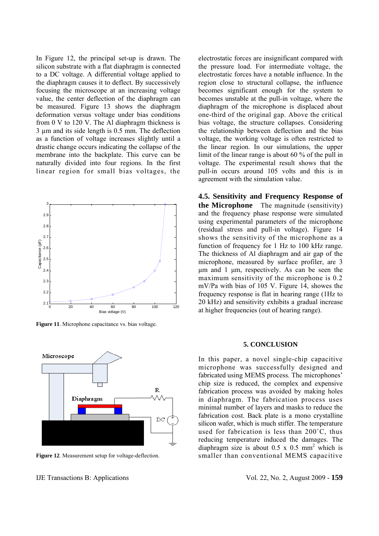In Figure 12, the principal set-up is drawn. The silicon substrate with a flat diaphragm is connected to a DC voltage. A differential voltage applied to the diaphragm causes it to deflect. By successively focusing the microscope at an increasing voltage value, the center deflection of the diaphragm can be measured. Figure 13 shows the diaphragm deformation versus voltage under bias conditions from 0 V to 120 V. The Al diaphragm thickness is 3 µm and its side length is 0.5 mm. The deflection as a function of voltage increases slightly until a drastic change occurs indicating the collapse of the membrane into the backplate. This curve can be naturally divided into four regions. In the first linear region for small bias voltages, the



**Figure 11**. Microphone capacitance vs. bias voltage.



**Figure 12**. Measurement setup for voltage-deflection.

electrostatic forces are insignificant compared with the pressure load. For intermediate voltage, the electrostatic forces have a notable influence. In the region close to structural collapse, the influence becomes significant enough for the system to becomes unstable at the pull-in voltage, where the diaphragm of the microphone is displaced about one-third of the original gap. Above the critical bias voltage, the structure collapses. Considering the relationship between deflection and the bias voltage, the working voltage is often restricted to the linear region. In our simulations, the upper limit of the linear range is about 60 % of the pull in voltage. The experimental result shows that the pull-in occurs around 105 volts and this is in agreement with the simulation value.

**4.5. Sensitivity and Frequency Response of the Microphone** The magnitude (sensitivity) and the frequency phase response were simulated using experimental parameters of the microphone (residual stress and pull-in voltage). Figure 14 shows the sensitivity of the microphone as a function of frequency for 1 Hz to 100 kHz range. The thickness of Al diaphragm and air gap of the microphone, measured by surface profiler, are 3 μm and 1 μm, respectively. As can be seen the maximum sensitivity of the microphone is 0.2 mV/Pa with bias of 105 V. Figure 14, showes the frequency response is flat in hearing range (1Hz to 20 kHz) and sensitivity exhibits a gradual increase at higher frequencies (out of hearing range).

#### **5. CONCLUSION**

In this paper, a novel single-chip capacitive microphone was successfully designed and fabricated using MEMS process. The microphones' chip size is reduced, the complex and expensive fabrication process was avoided by making holes in diaphragm. The fabrication process uses minimal number of layers and masks to reduce the fabrication cost. Back plate is a mono crystalline silicon wafer, which is much stiffer. The temperature used for fabrication is less than 200˚C, thus reducing temperature induced the damages. The diaphragm size is about  $0.5 \times 0.5$  mm<sup>2</sup> which is smaller than conventional MEMS capacitive